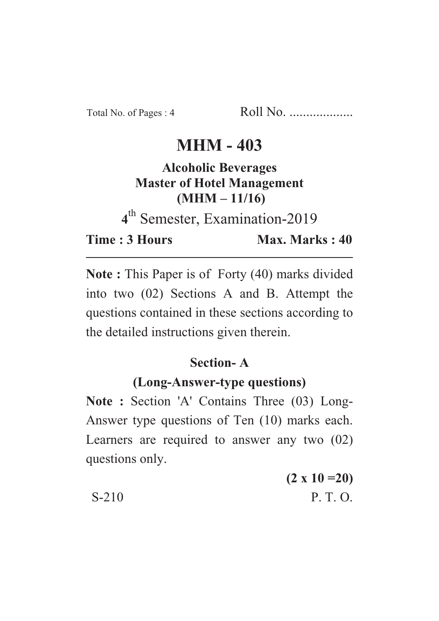# **MHM - 403**

### **Alcoholic Beverages Master of Hotel Management**  $(MHM - 11/16)$

<sup>th</sup> Semester, Examination-2019

**Time: 3 Hours Time : 3 Hours Max. Marks : 40**

Max. Marks: 40

**Note :** This Paper is of Forty (40) marks divided into two (02) Sections A and B. Attempt the questions contained in these sections according to the detailed instructions given therein.

## **Section-A**

#### (Long-Answer-type questions)

**(Long-Answer-type questions) Note : Section 'A' Contains Three (03) Long-**Answer type questions of Ten (10) marks each. Learners are required to answer any two (02) questions only.

**(2 x 10 =20)** S-210 P. T. O.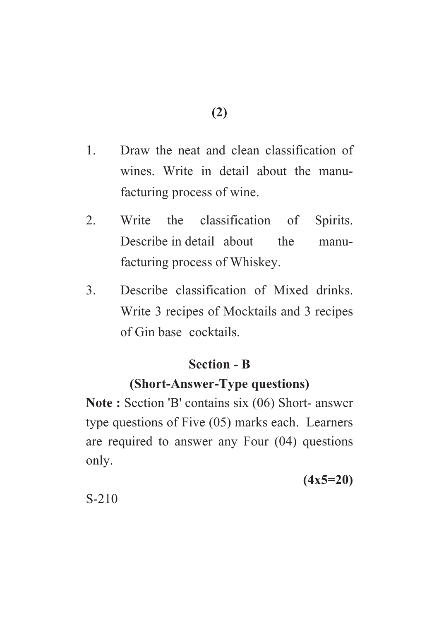- 1. Draw the neat and clean classification of wines. Write in detail about the manufacturing process of wine.
- 2. Write the classification of Spirits. Describe in detail about the manufacturing process of Whiskey.
- 3. Describe classification of Mixed drinks. Write 3 recipes of Mocktails and 3 recipes of Gin base cocktails.

## **Section - B**

## **(Short-Answer-Type questions)**

**(Short-Answer-Type questions) Note : Section 'B' contains six (06) Short- answer** type questions of Five (05) marks each. Learners are required to answer any Four (04) questions only.

**(4x5=20)**

S-210